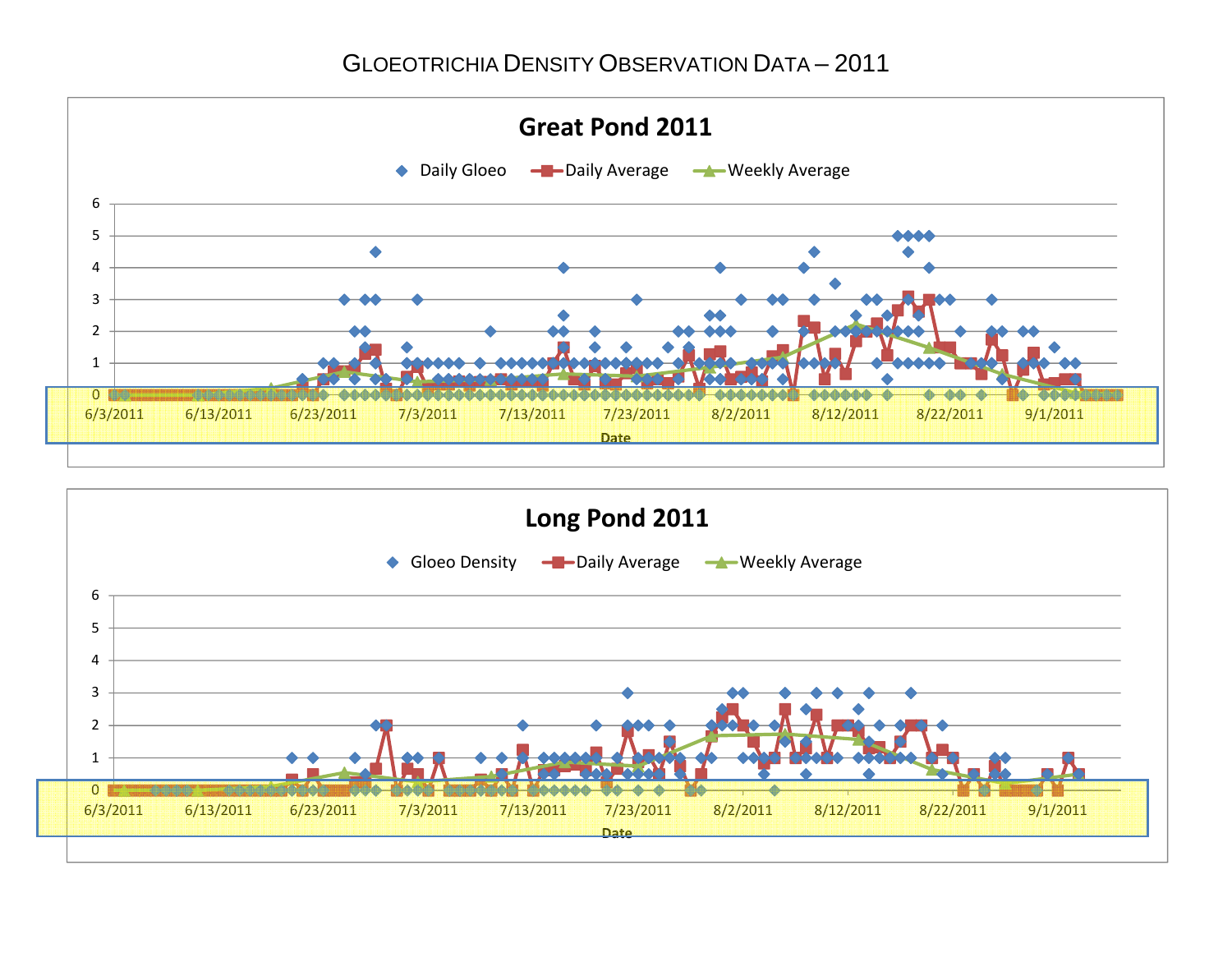GLOEOTRICHIA DENSITY OBSERVATION DATA – 2011



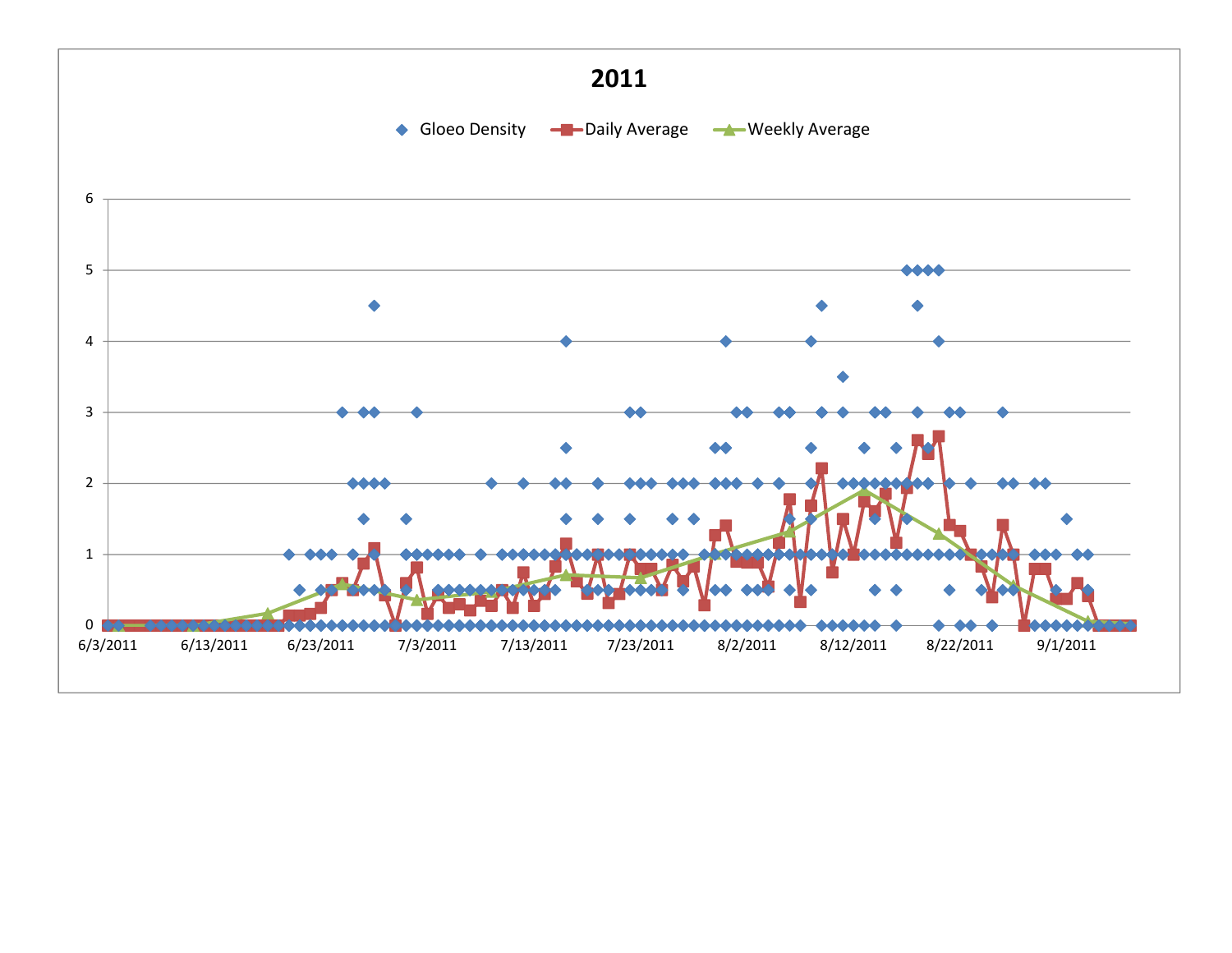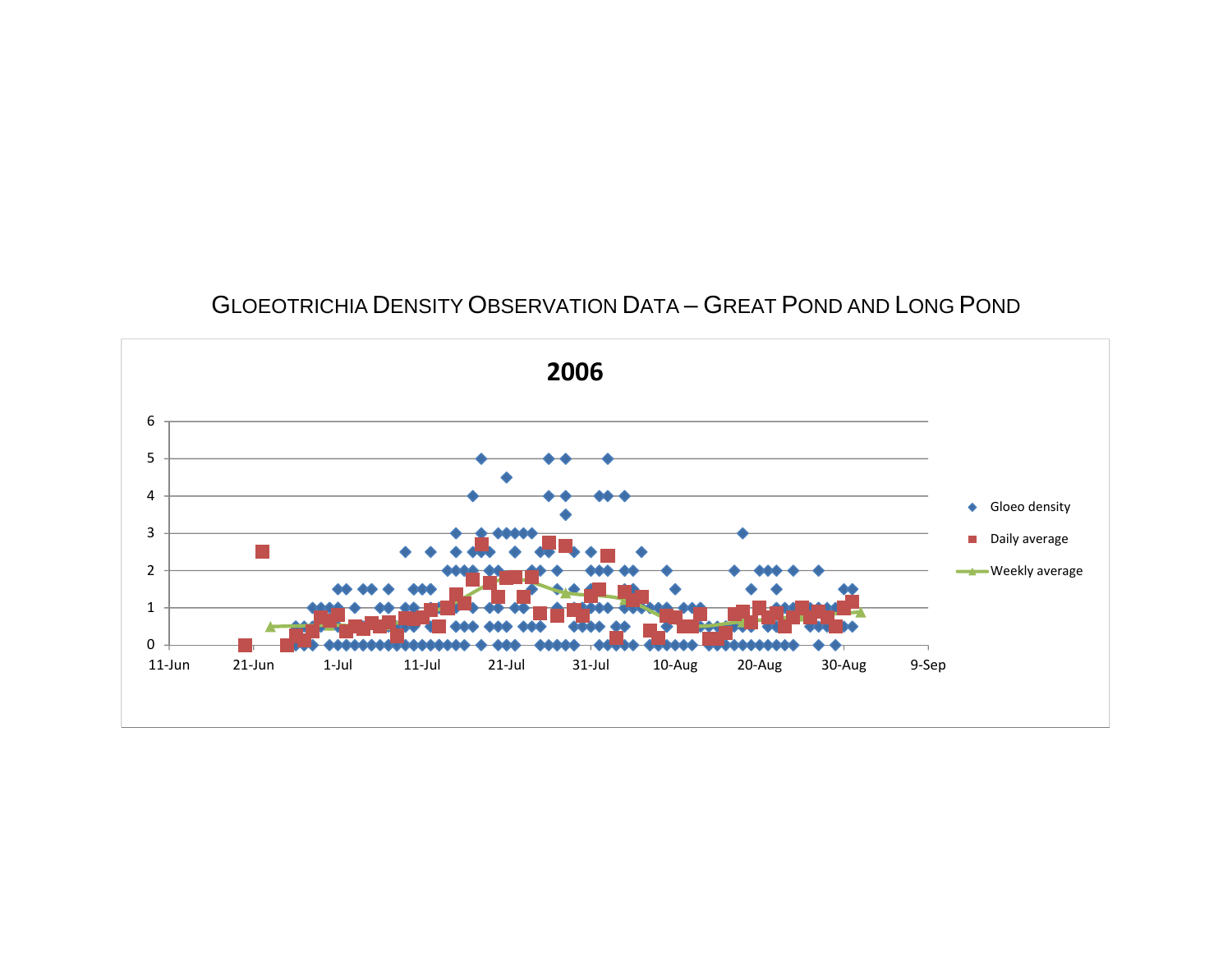## GLOEOTRICHIA DENSITY OBSERVATION DATA – GREAT POND AND LONG POND

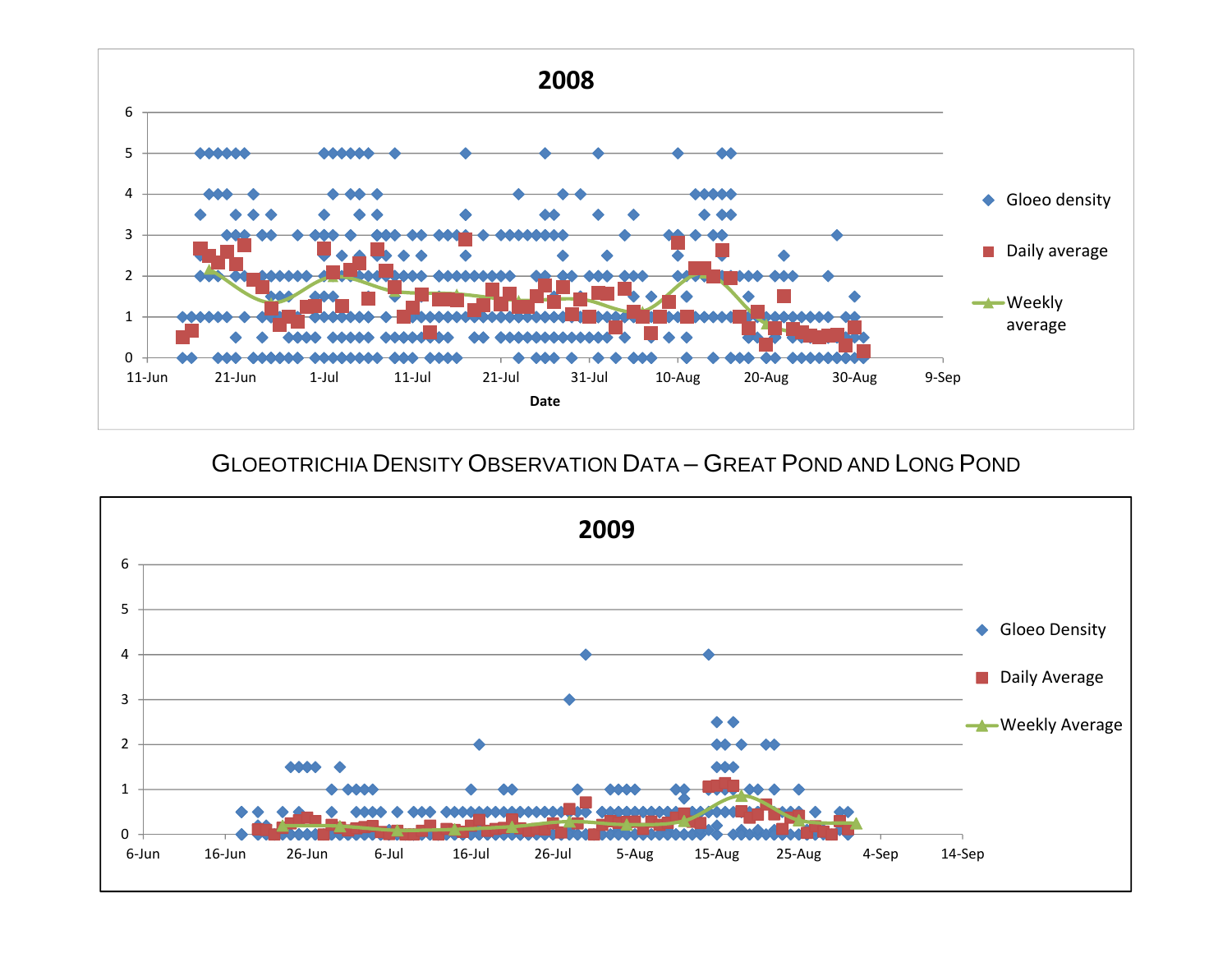

GLOEOTRICHIA DENSITY OBSERVATION DATA – GREAT POND AND LONG POND

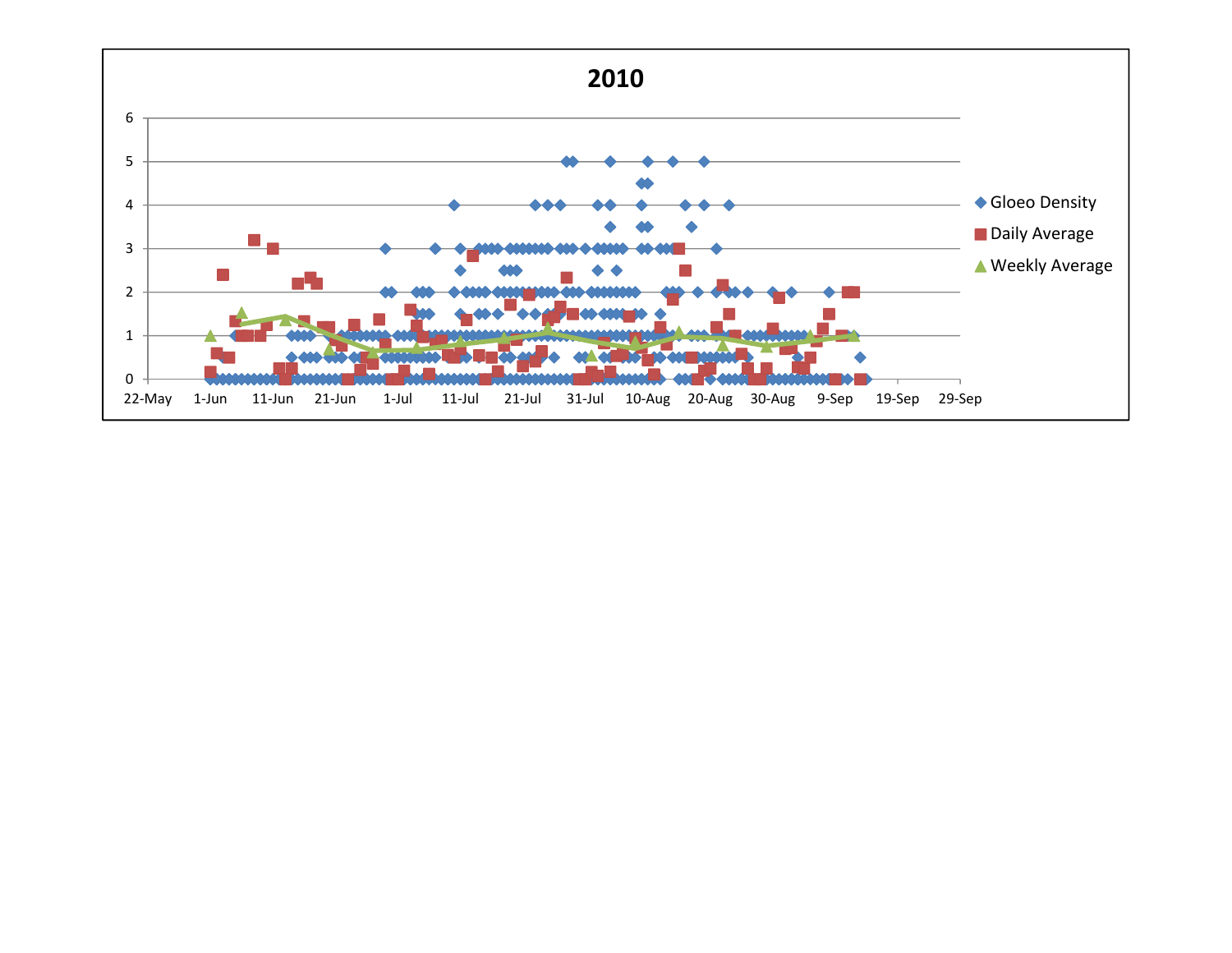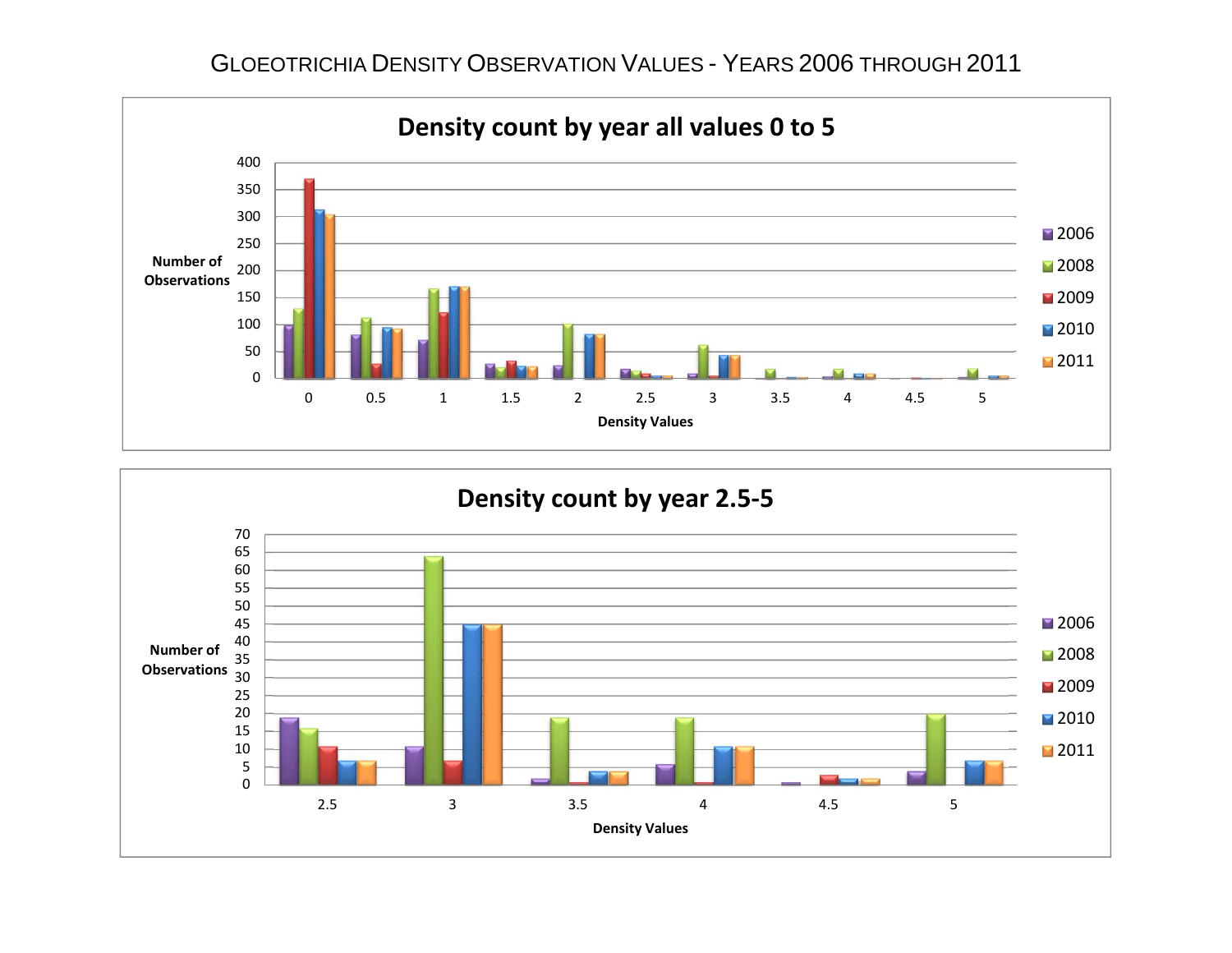GLOEOTRICHIA DENSITY OBSERVATION VALUES - YEARS 2006 THROUGH 2011



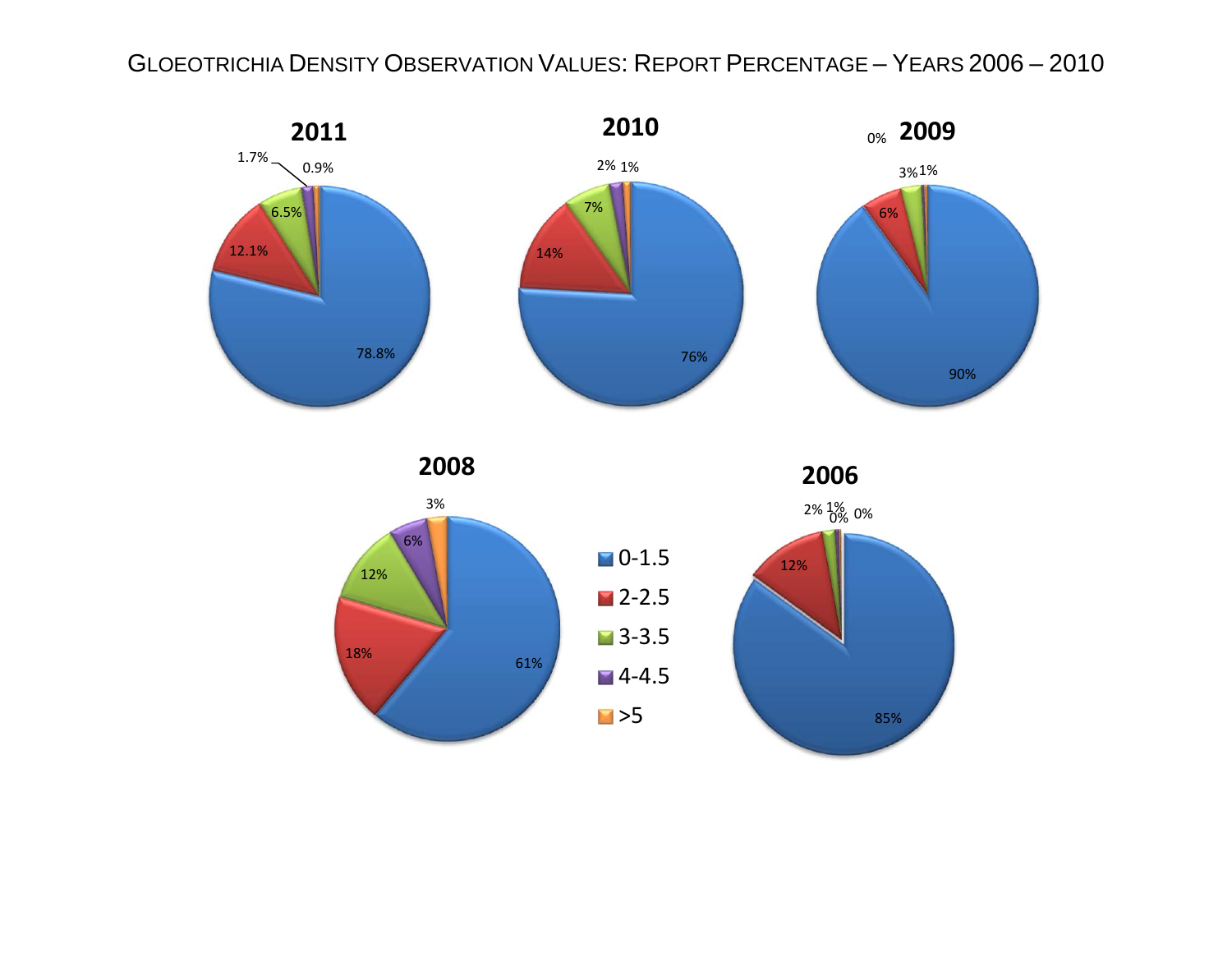## GLOEOTRICHIA DENSITY OBSERVATION VALUES: REPORT PERCENTAGE – YEARS 2006 – 2010



**2008**